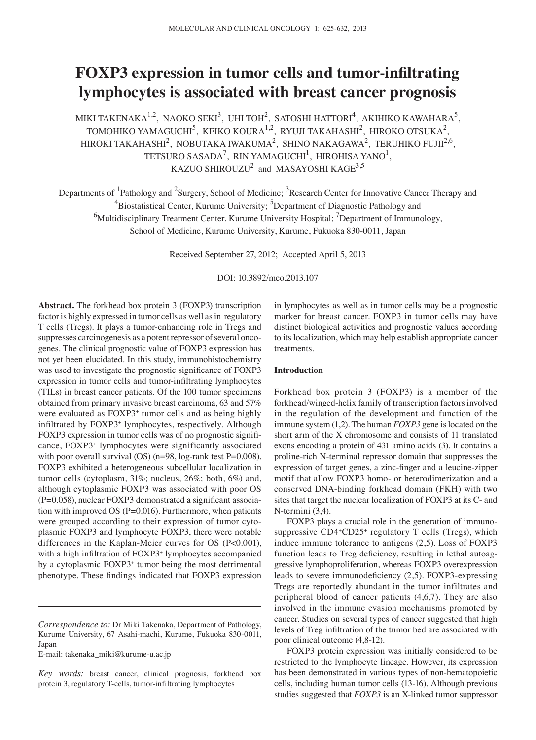# **FOXP3 expression in tumor cells and tumor-infiltrating lymphocytes is associated with breast cancer prognosis**

MIKI TAKENAKA $^{1,2}$ , NAOKO SEKI<sup>3</sup>, UHI TOH<sup>2</sup>, SATOSHI HATTORI<sup>4</sup>, AKIHIKO KAWAHARA<sup>5</sup>, TOMOHIKO YAMAGUCHI<sup>5</sup>, KEIKO KOURA<sup>1,2</sup>, RYUJI TAKAHASHI<sup>2</sup>, HIROKO OTSUKA<sup>2</sup>, HIROKI TAKAHASHI<sup>2</sup>, NOBUTAKA IWAKUMA<sup>2</sup>, SHINO NAKAGAWA<sup>2</sup>, TERUHIKO FUJII<sup>2,6</sup>, TETSURO SASADA<sup>7</sup>, RIN YAMAGUCHI<sup>1</sup>, HIROHISA YANO<sup>1</sup>, KAZUO SHIROUZU $^2$  and MASAYOSHI KAGE  $^{3,5}$ 

Departments of <sup>1</sup>Pathology and <sup>2</sup>Surgery, School of Medicine; <sup>3</sup>Research Center for Innovative Cancer Therapy and <sup>4</sup>Biostatistical Center, Kurume University; <sup>5</sup>Department of Diagnostic Pathology and  $^6$ Multidisciplinary Treatment Center, Kurume University Hospital;  $^7$ Department of Immunology, School of Medicine, Kurume University, Kurume, Fukuoka 830-0011, Japan

Received September 27, 2012; Accepted April 5, 2013

DOI: 10.3892/mco.2013.107

**Abstract.** The forkhead box protein 3 (FOXP3) transcription factor is highly expressed in tumor cells as well as in regulatory T cells (Tregs). It plays a tumor-enhancing role in Tregs and suppresses carcinogenesis as a potent repressor of several oncogenes. The clinical prognostic value of FOXP3 expression has not yet been elucidated. In this study, immunohistochemistry was used to investigate the prognostic significance of FOXP3 expression in tumor cells and tumor-infiltrating lymphocytes (TILs) in breast cancer patients. Of the 100 tumor specimens obtained from primary invasive breast carcinoma, 63 and 57% were evaluated as FOXP3<sup>+</sup> tumor cells and as being highly infiltrated by FOXP3<sup>+</sup> lymphocytes, respectively. Although FOXP3 expression in tumor cells was of no prognostic significance, FOXP3+ lymphocytes were significantly associated with poor overall survival (OS) (n=98, log-rank test P=0.008). FOXP3 exhibited a heterogeneous subcellular localization in tumor cells (cytoplasm, 31%; nucleus, 26%; both, 6%) and, although cytoplasmic FOXP3 was associated with poor OS  $(P=0.058)$ , nuclear FOXP3 demonstrated a significant association with improved OS (P=0.016). Furthermore, when patients were grouped according to their expression of tumor cytoplasmic FOXP3 and lymphocyte FOXP3, there were notable differences in the Kaplan-Meier curves for OS (P<0.001), with a high infiltration of FOXP3<sup>+</sup> lymphocytes accompanied by a cytoplasmic FOXP3+ tumor being the most detrimental phenotype. These findings indicated that FOXP3 expression

E-mail: takenaka\_miki@kurume-u.ac.jp

in lymphocytes as well as in tumor cells may be a prognostic marker for breast cancer. FOXP3 in tumor cells may have distinct biological activities and prognostic values according to its localization, which may help establish appropriate cancer treatments.

#### **Introduction**

Forkhead box protein 3 (FOXP3) is a member of the forkhead/winged-helix family of transcription factors involved in the regulation of the development and function of the immune system (1,2). The human *FOXP3* gene is located on the short arm of the X chromosome and consists of 11 translated exons encoding a protein of 431 amino acids (3). It contains a proline-rich N-terminal repressor domain that suppresses the expression of target genes, a zinc-finger and a leucine-zipper motif that allow FOXP3 homo- or heterodimerization and a conserved DNA-binding forkhead domain (FKH) with two sites that target the nuclear localization of FOXP3 at its C- and N-termini (3,4).

FOXP3 plays a crucial role in the generation of immunosuppressive CD4+CD25+ regulatory T cells (Tregs), which induce immune tolerance to antigens (2,5). Loss of FOXP3 function leads to Treg deficiency, resulting in lethal autoaggressive lymphoproliferation, whereas FOXP3 overexpression leads to severe immunodeficiency (2,5). FOXP3-expressing Tregs are reportedly abundant in the tumor infiltrates and peripheral blood of cancer patients (4,6,7). They are also involved in the immune evasion mechanisms promoted by cancer. Studies on several types of cancer suggested that high levels of Treg infiltration of the tumor bed are associated with poor clinical outcome (4,8-12).

FOXP3 protein expression was initially considered to be restricted to the lymphocyte lineage. However, its expression has been demonstrated in various types of non-hematopoietic cells, including human tumor cells (13-16). Although previous studies suggested that *FOXP3* is an X-linked tumor suppressor

*Correspondence to:* Dr Miki Takenaka, Department of Pathology, Kurume University, 67 Asahi-machi, Kurume, Fukuoka 830-0011, Japan

*Key words:* breast cancer, clinical prognosis, forkhead box protein 3, regulatory T-cells, tumor-infiltrating lymphocytes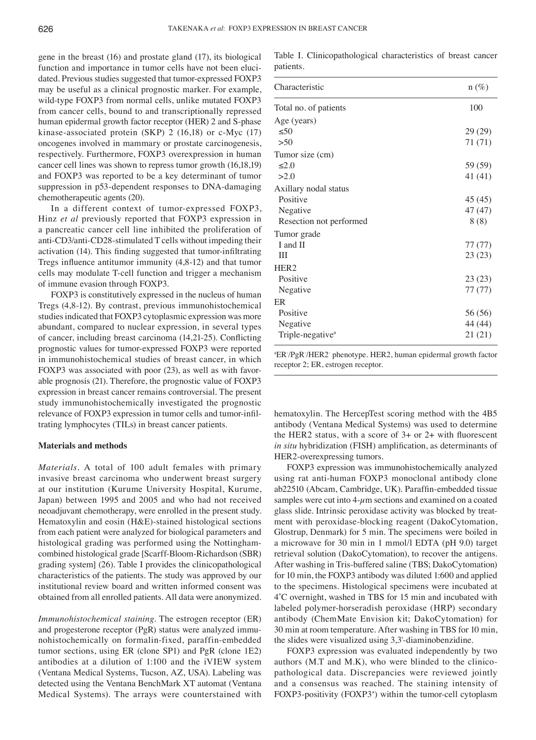gene in the breast (16) and prostate gland (17), its biological function and importance in tumor cells have not been elucidated. Previous studies suggested that tumor-expressed FOXP3 may be useful as a clinical prognostic marker. For example, wild-type FOXP3 from normal cells, unlike mutated FOXP3 from cancer cells, bound to and transcriptionally repressed human epidermal growth factor receptor (HER) 2 and S-phase kinase-associated protein (SKP) 2 (16,18) or c-Myc (17) oncogenes involved in mammary or prostate carcinogenesis, respectively. Furthermore, FOXP3 overexpression in human cancer cell lines was shown to repress tumor growth (16,18,19) and FOXP3 was reported to be a key determinant of tumor suppression in p53-dependent responses to DNA-damaging chemotherapeutic agents (20).

In a different context of tumor-expressed FOXP3, Hinz *et al* previously reported that FOXP3 expression in a pancreatic cancer cell line inhibited the proliferation of anti-CD3/anti-CD28-stimulated T cells without impeding their activation (14). This finding suggested that tumor-infiltrating Tregs influence antitumor immunity (4,8‑12) and that tumor cells may modulate T-cell function and trigger a mechanism of immune evasion through FOXP3.

FOXP3 is constitutively expressed in the nucleus of human Tregs (4,8-12). By contrast, previous immunohistochemical studies indicated that FOXP3 cytoplasmic expression was more abundant, compared to nuclear expression, in several types of cancer, including breast carcinoma (14,21‑25). Conflicting prognostic values for tumor-expressed FOXP3 were reported in immunohistochemical studies of breast cancer, in which FOXP3 was associated with poor (23), as well as with favorable prognosis (21). Therefore, the prognostic value of FOXP3 expression in breast cancer remains controversial. The present study immunohistochemically investigated the prognostic relevance of FOXP3 expression in tumor cells and tumor-infiltrating lymphocytes (TILs) in breast cancer patients.

#### **Materials and methods**

*Materials.* A total of 100 adult females with primary invasive breast carcinoma who underwent breast surgery at our institution (Kurume University Hospital, Kurume, Japan) between 1995 and 2005 and who had not received neoadjuvant chemotherapy, were enrolled in the present study. Hematoxylin and eosin (H&E)-stained histological sections from each patient were analyzed for biological parameters and histological grading was performed using the Nottinghamcombined histological grade [Scarff-Bloom-Richardson (SBR) grading system] (26). Table Ⅰ provides the clinicopathological characteristics of the patients. The study was approved by our institutional review board and written informed consent was obtained from all enrolled patients. All data were anonymized.

*Immunohistochemical staining.* The estrogen receptor (ER) and progesterone receptor (PgR) status were analyzed immunohistochemically on formalin-fixed, paraffin-embedded tumor sections, using ER (clone SP1) and PgR (clone 1E2) antibodies at a dilution of 1:100 and the iVIEW system (Ventana Medical Systems, Tucson, AZ, USA). Labeling was detected using the Ventana BenchMark XT automat (Ventana Medical Systems). The arrays were counterstained with

Table I. Clinicopathological characteristics of breast cancer patients.

| Characteristic               | $n(\%)$   |
|------------------------------|-----------|
| Total no. of patients        | 100       |
| Age (years)                  |           |
| $\leq 50$                    | 29 (29)   |
| >50                          | 71 $(71)$ |
| Tumor size (cm)              |           |
| $\leq 2.0$                   | 59 (59)   |
| >2.0                         | 41 (41)   |
| Axillary nodal status        |           |
| Positive                     | 45 (45)   |
| Negative                     | 47 (47)   |
| Resection not performed      | 8(8)      |
| Tumor grade                  |           |
| I and II                     | 77 (77)   |
| Ш                            | 23(23)    |
| HER <sub>2</sub>             |           |
| Positive                     | 23(23)    |
| Negative                     | 77 (77)   |
| ER                           |           |
| Positive                     | 56 (56)   |
| Negative                     | 44 (44)   |
| Triple-negative <sup>a</sup> | 21(21)    |

a ER- /PgR- /HER2- phenotype. HER2, human epidermal growth factor receptor 2; ER, estrogen receptor.

hematoxylin. The HercepTest scoring method with the 4B5 antibody (Ventana Medical Systems) was used to determine the HER2 status, with a score of 3+ or 2+ with fluorescent *in situ* hybridization (FISH) amplification, as determinants of HER2-overexpressing tumors.

FOXP3 expression was immunohistochemically analyzed using rat anti-human FOXP3 monoclonal antibody clone ab22510 (Abcam, Cambridge, UK). Paraffin-embedded tissue samples were cut into  $4-\mu$ m sections and examined on a coated glass slide. Intrinsic peroxidase activity was blocked by treatment with peroxidase-blocking reagent (DakoCytomation, Glostrup, Denmark) for 5 min. The specimens were boiled in a microwave for 30 min in 1 mmol/l EDTA (pH 9.0) target retrieval solution (DakoCytomation), to recover the antigens. After washing in Tris-buffered saline (TBS; DakoCytomation) for 10 min, the FOXP3 antibody was diluted 1:600 and applied to the specimens. Histological specimens were incubated at 4˚C overnight, washed in TBS for 15 min and incubated with labeled polymer-horseradish peroxidase (HRP) secondary antibody (ChemMate Envision kit; DakoCytomation) for 30 min at room temperature. After washing in TBS for 10 min, the slides were visualized using 3,3'-diaminobenzidine.

FOXP3 expression was evaluated independently by two authors (M.T and M.K), who were blinded to the clinicopathological data. Discrepancies were reviewed jointly and a consensus was reached. The staining intensity of FOXP3-positivity (FOXP3+ ) within the tumor-cell cytoplasm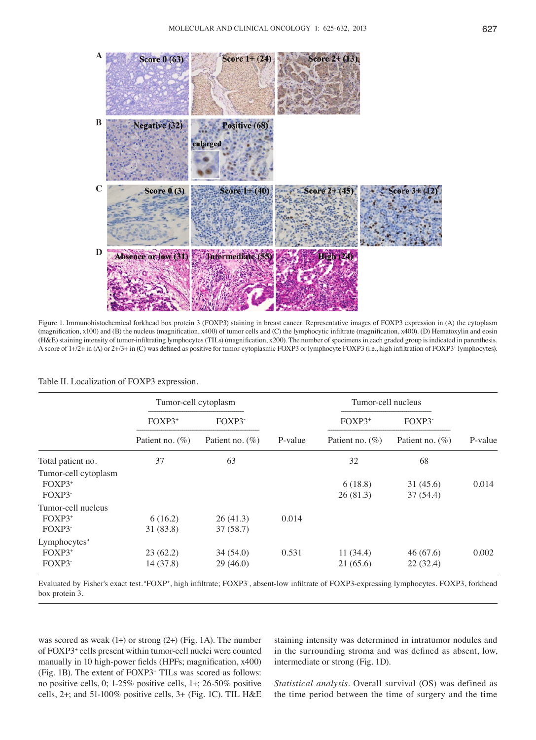

Figure 1. Immunohistochemical forkhead box protein 3 (FOXP3) staining in breast cancer. Representative images of FOXP3 expression in (A) the cytoplasm (magnification, x100) and (B) the nucleus (magnification, x400) of tumor cells and (C) the lymphocytic infiltrate (magnification, x400). (D) Hematoxylin and eosin (H&E) staining intensity of tumor-infiltrating lymphocytes (TILs) (magnification, x200). The number of specimens in each graded group is indicated in parenthesis. A score of 1+/2+ in (A) or 2+/3+ in (C) was defined as positive for tumor-cytoplasmic FOXP3 or lymphocyte FOXP3 (i.e., high infiltration of FOXP3<sup>+</sup> lymphocytes).

|                                                | Tumor-cell cytoplasm  |                      |         | Tumor-cell nucleus   |                      |         |
|------------------------------------------------|-----------------------|----------------------|---------|----------------------|----------------------|---------|
|                                                | FOXP3+                | FOXP3                |         | FOXP3+               | FOXP3                |         |
|                                                | Patient no. $(\%)$    | Patient no. $(\%)$   | P-value | Patient no. $(\%)$   | Patient no. $(\%)$   | P-value |
| Total patient no.                              | 37                    | 63                   |         | 32                   | 68                   |         |
| Tumor-cell cytoplasm<br>$FOXP3^+$<br>FOXP3     |                       |                      |         | 6(18.8)<br>26(81.3)  | 31(45.6)<br>37(54.4) | 0.014   |
| Tumor-cell nucleus<br>$FOXP3+$<br>FOXP3        | 6(16.2)<br>31 (83.8)  | 26(41.3)<br>37(58.7) | 0.014   |                      |                      |         |
| Lymphocytes <sup>a</sup><br>$FOXP3^+$<br>FOXP3 | 23(62.2)<br>14 (37.8) | 34(54.0)<br>29(46.0) | 0.531   | 11(34.4)<br>21(65.6) | 46(67.6)<br>22(32.4) | 0.002   |

#### Table Ⅱ. Localization of FOXP3 expression.

Evaluated by Fisher's exact test. <sup>a</sup>FOXP<sup>+</sup>, high infiltrate; FOXP3<sup>-</sup>, absent-low infiltrate of FOXP3-expressing lymphocytes. FOXP3, forkhead box protein 3.

was scored as weak  $(1+)$  or strong  $(2+)$  (Fig. 1A). The number of FOXP3+ cells present within tumor-cell nuclei were counted manually in 10 high-power fields (HPFs; magnification, x400) (Fig. 1B). The extent of FOXP3+ TILs was scored as follows: no positive cells, 0; 1-25% positive cells, 1+; 26-50% positive cells, 2+; and 51-100% positive cells, 3+ (Fig. 1C). TIL H&E

staining intensity was determined in intratumor nodules and in the surrounding stroma and was defined as absent, low, intermediate or strong (Fig. 1D).

*Statistical analysis.* Overall survival (OS) was defined as the time period between the time of surgery and the time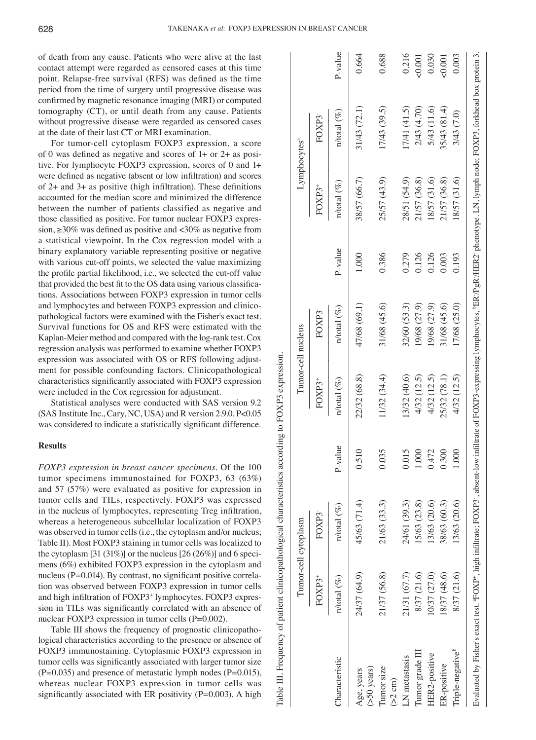Table Ⅲ. Frequency of patient clinicopathological characteristics according to FOXP3 expression.

able III. Frequency of patient clinicopathological characteristics according to FOXP3 expression

of death from any cause. Patients who were alive at the last contact attempt were regarded as censored cases at this time point. Relapse-free survival (RFS) was defined as the time period from the time of surgery until progressive disease was confirmed by magnetic resonance imaging (MRI) or computed tomography (CT), or until death from any cause. Patients without progressive disease were regarded as censored cases at the date of their last CT or MRI examination.

For tumor-cell cytoplasm FOXP3 expression, a score of 0 was defined as negative and scores of 1+ or 2+ as positive. For lymphocyte FOXP3 expression, scores of 0 and 1+ were defined as negative (absent or low infiltration) and scores of 2+ and 3+ as positive (high infiltration). These definitions accounted for the median score and minimized the difference between the number of patients classified as negative and those classified as positive. For tumor nuclear FOXP3 expression,  $\geq$ 30% was defined as positive and <30% as negative from a statistical viewpoint. In the Cox regression model with a binary explanatory variable representing positive or negative with various cut-off points, we selected the value maximizing the profile partial likelihood, i.e., we selected the cut-off value that provided the best fit to the OS data using various classifications. Associations between FOXP3 expression in tumor cells and lymphocytes and between FOXP3 expression and clinicopathological factors were examined with the Fisher's exact test. Survival functions for OS and RFS were estimated with the Kaplan-Meier method and compared with the log-rank test. Cox regression analysis was performed to examine whether FOXP3 expression was associated with OS or RFS following adjustment for possible confounding factors. Clinicopathological characteristics significantly associated with FOXP3 expression were included in the Cox regression for adjustment.

Statistical analyses were conducted with SAS version 9.2 (SAS Institute Inc., Cary, NC, USA) and R version 2.9.0. P<0.05 was considered to indicate a statistically significant difference.

#### **Results**

*FOXP3 expression in breast cancer specimens.* Of the 100 tumor specimens immunostained for FOXP3, 63 (63%) and 57 (57%) were evaluated as positive for expression in tumor cells and TILs, respectively. FOXP3 was expressed in the nucleus of lymphocytes, representing Treg infiltration, whereas a heterogeneous subcellular localization of FOXP3 was observed in tumor cells (i.e., the cytoplasm and/or nucleus; Table Ⅱ). Most FOXP3 staining in tumor cells was localized to the cytoplasm  $[31 (31\%)$  or the nucleus  $[26 (26\%)]$  and 6 specimens (6%) exhibited FOXP3 expression in the cytoplasm and nucleus (P=0.014). By contrast, no significant positive correlation was observed between FOXP3 expression in tumor cells and high infiltration of FOXP3<sup>+</sup> lymphocytes. FOXP3 expression in TILs was significantly correlated with an absence of nuclear FOXP3 expression in tumor cells (P=0.002).

Table Ⅲ shows the frequency of prognostic clinicopathological characteristics according to the presence or absence of FOXP3 immunostaining. Cytoplasmic FOXP3 expression in tumor cells was significantly associated with larger tumor size  $(P=0.035)$  and presence of metastatic lymph nodes  $(P=0.015)$ , whereas nuclear FOXP3 expression in tumor cells was significantly associated with ER positivity ( $P=0.003$ ). A high

|                                 |                   | Tumor-cell cytoplasm                                                                                                                                                                             |                |                   | Tumor-cell nucleus |         | Lymphocytes <sup>a</sup> |                   |          |
|---------------------------------|-------------------|--------------------------------------------------------------------------------------------------------------------------------------------------------------------------------------------------|----------------|-------------------|--------------------|---------|--------------------------|-------------------|----------|
|                                 | FOXP3+            | FOXP3                                                                                                                                                                                            |                | $FOXP3+$          | FOXP3              |         | FOXP3+                   | FOXP3             |          |
| haracteristic                   | $n$ /total $(\%)$ | $n$ /total $(\%)$                                                                                                                                                                                | Pol<br>$P-val$ | $n$ /total $(\%)$ | $n$ total $(\%)$   | P-value | $n$ /total $(\%)$        | $n$ /total $(\%)$ | P-value  |
| $($ >50 years $)$<br>Age, years | 24/37 (64.9)      | 45/63 (71.4)                                                                                                                                                                                     | 0.510          | 22/32 (68.8)      | 47/68 (69.1)       | 1.000   | 38/57 (66.7)             | 31/43 (72.1)      | 0.664    |
| Tumor size<br>$(>2$ cm)         | 21/37 (56.8)      | 21/63 (33.3)                                                                                                                                                                                     | 0.03           | 11/32 (34.4)      | 31/68 (45.6)       | 0.386   | 25/57 (43.9)             | 17/43 (39.5)      | 0.688    |
| LN metastasis                   | 21/31 (67.7)      | 24/61 (39.3)                                                                                                                                                                                     | 0.01           | 13/32 (40.6)      | 32/60 (53.3)       | 0.279   | 28/51 (54.9)             | [7/41(41.5)       | 0.216    |
| Tumor grade III                 | 8/37 (21.6)       | 15/63 (23.8)                                                                                                                                                                                     | 1.000          | 4/32 (12.5)       | 19/68 (27.9)       | 0.126   | 21/57 (36.8)             | 2/43 (4.70)       | $-0.001$ |
| HER2-positive                   | 0/37 (27.0)       | 13/63 (20.6)                                                                                                                                                                                     | 0.472          | 4/32 (12.5)       | 19/68 (27.9)       | 0.126   | 18/57 (31.6)             | 5/43 (11.6)       | 0.030    |
| ER-positive                     | (9.8/37 (48.6)    | 38/63 (60.3)                                                                                                                                                                                     | 0.300          | 25/32 (78.1)      | 31/68 (45.6)       | 0.003   | 21/57 (36.8)             | 35/43 (81.4)      | $-0.001$ |
| Triple-negative <sup>b</sup>    | 8/37 (21.6)       | 13/63 (20.6)                                                                                                                                                                                     | 000            | 4/32 (12.5)       | 17/68 (25.0)       | 0.193   | 8/57 (31.6)              | 3/43 (7.0)        | 0.003    |
|                                 |                   | Evaluated by Fisher's exact test. "FOXP", high infiltrate; FOXP3; absent-low infiltrate of FOXP3-expressing lymphocytes, "ER PgR /HER2 phenotype. LN, lymph node; FOXP3, forkhead box protein 3. |                |                   |                    |         |                          |                   |          |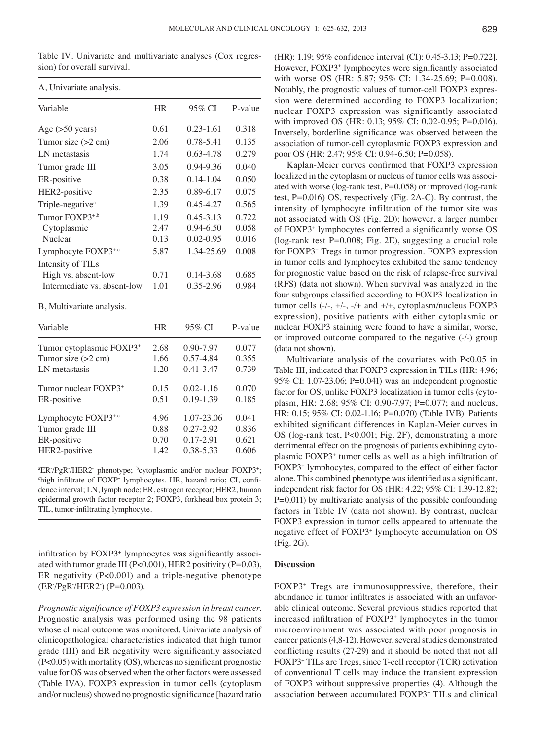Table Ⅳ. Univariate and multivariate analyses (Cox regression) for overall survival.

| A, Univariate analysis.      |           |               |         |
|------------------------------|-----------|---------------|---------|
| Variable                     | <b>HR</b> | 95% CI        | P-value |
| Age $(>50$ years)            | 0.61      | $0.23 - 1.61$ | 0.318   |
| Tumor size $(>2 \text{ cm})$ | 2.06      | 0.78-5.41     | 0.135   |
| LN metastasis                | 1.74      | 0.63-4.78     | 0.279   |
| Tumor grade III              | 3.05      | 0.94-9.36     | 0.040   |
| ER-positive                  | 0.38      | $0.14 - 1.04$ | 0.050   |
| HER2-positive                | 2.35      | 0.89-6.17     | 0.075   |
| Triple-negative <sup>a</sup> | 1.39      | $0.45 - 4.27$ | 0.565   |
| Tumor FOXP3 <sup>+,b</sup>   | 1.19      | $0.45 - 3.13$ | 0.722   |
| Cytoplasmic                  | 2.47      | $0.94 - 6.50$ | 0.058   |
| Nuclear                      | 0.13      | 0.02-0.95     | 0.016   |
| Lymphocyte $FOXP3^{+,c}$     | 5.87      | 1.34-25.69    | 0.008   |
| Intensity of TILs            |           |               |         |
| High vs. absent-low          | 0.71      | 0.14-3.68     | 0.685   |
| Intermediate vs. absent-low  | 1.01      | 0.35-2.96     | 0.984   |

B, Multivariate analysis.

| Variable                             | HR   | 95% CI        | P-value |
|--------------------------------------|------|---------------|---------|
| Tumor cytoplasmic FOXP3 <sup>+</sup> | 2.68 | $0.90 - 7.97$ | 0.077   |
| Tumor size $(>2$ cm)                 | 1.66 | 0.57-4.84     | 0.355   |
| LN metastasis                        | 1.20 | $0.41 - 3.47$ | 0.739   |
| Tumor nuclear FOXP3 <sup>+</sup>     | 0.15 | $0.02 - 1.16$ | 0.070   |
| ER-positive                          | 0.51 | $0.19 - 1.39$ | 0.185   |
| Lymphocyte FOXP3+,c                  | 4.96 | 1.07-23.06    | 0.041   |
| Tumor grade III                      | 0.88 | $0.27 - 2.92$ | 0.836   |
| ER-positive                          | 0.70 | $0.17 - 2.91$ | 0.621   |
| HER2-positive                        | 1.42 | 0.38-5.33     | 0.606   |
|                                      |      |               |         |

<sup>a</sup>ER-/PgR-/HER2<sup>-</sup> phenotype; <sup>b</sup>cytoplasmic and/or nuclear FOXP3<sup>+</sup>;<sup>4</sup><br><sup>chigh</sup> infiltrate of FOXP<sup>+</sup> lymphocytes. HR, bazard ratio: CL confihigh infiltrate of FOXP<sup>+</sup> lymphocytes. HR, hazard ratio; CI, confidence interval; LN, lymph node; ER, estrogen receptor; HER2, human epidermal growth factor receptor 2; FOXP3, forkhead box protein 3; TIL, tumor-infiltrating lymphocyte.

infiltration by FOXP3<sup>+</sup> lymphocytes was significantly associated with tumor grade III (P<0.001), HER2 positivity (P=0.03), ER negativity (P<0.001) and a triple-negative phenotype (ER/PgR/HER2<sup>-</sup>) (P=0.003).

*Prognostic significance of FOXP3 expression in breast cancer.*  Prognostic analysis was performed using the 98 patients whose clinical outcome was monitored. Univariate analysis of clinicopathological characteristics indicated that high tumor grade (III) and ER negativity were significantly associated (P<0.05) with mortality (OS), whereas no significant prognostic value for OS was observed when the other factors were assessed (Table ⅣA). FOXP3 expression in tumor cells (cytoplasm and/or nucleus) showed no prognostic significance [hazard ratio (HR): 1.19; 95% confidence interval (CI): 0.45-3.13; P=0.722]. However, FOXP3<sup>+</sup> lymphocytes were significantly associated with worse OS (HR: 5.87; 95% CI: 1.34-25.69; P=0.008). Notably, the prognostic values of tumor-cell FOXP3 expression were determined according to FOXP3 localization; nuclear FOXP3 expression was significantly associated with improved OS (HR: 0.13; 95% CI: 0.02-0.95; P=0.016). Inversely, borderline significance was observed between the association of tumor-cell cytoplasmic FOXP3 expression and poor OS (HR: 2.47; 95% CI: 0.94-6.50; P=0.058).

Kaplan-Meier curves confirmed that FOXP3 expression localized in the cytoplasm or nucleus of tumor cells was associated with worse (log-rank test, P=0.058) or improved (log-rank test, P=0.016) OS, respectively (Fig. 2A-C). By contrast, the intensity of lymphocyte infiltration of the tumor site was not associated with OS (Fig. 2D); however, a larger number of FOXP3+ lymphocytes conferred a significantly worse OS (log-rank test P=0.008; Fig. 2E), suggesting a crucial role for FOXP3+ Tregs in tumor progression. FOXP3 expression in tumor cells and lymphocytes exhibited the same tendency for prognostic value based on the risk of relapse-free survival (RFS) (data not shown). When survival was analyzed in the four subgroups classified according to FOXP3 localization in tumor cells  $(-/-, +/-, -/+$  and  $+/+,$  cytoplasm/nucleus FOXP3 expression), positive patients with either cytoplasmic or nuclear FOXP3 staining were found to have a similar, worse, or improved outcome compared to the negative (-/-) group (data not shown).

Multivariate analysis of the covariates with P<0.05 in Table Ⅲ, indicated that FOXP3 expression in TILs (HR: 4.96; 95% CI: 1.07-23.06; P=0.041) was an independent prognostic factor for OS, unlike FOXP3 localization in tumor cells (cytoplasm, HR: 2.68; 95% CI: 0.90-7.97; P=0.077; and nucleus, HR: 0.15; 95% CI: 0.02-1.16; P=0.070) (Table IVB). Patients exhibited significant differences in Kaplan-Meier curves in OS (log-rank test, P<0.001; Fig. 2F), demonstrating a more detrimental effect on the prognosis of patients exhibiting cytoplasmic FOXP3+ tumor cells as well as a high infiltration of FOXP3+ lymphocytes, compared to the effect of either factor alone. This combined phenotype was identified as a significant, independent risk factor for OS (HR: 4.22; 95% CI: 1.39-12.82; P=0.011) by multivariate analysis of the possible confounding factors in Table Ⅳ (data not shown). By contrast, nuclear FOXP3 expression in tumor cells appeared to attenuate the negative effect of FOXP3+ lymphocyte accumulation on OS (Fig. 2G).

### **Discussion**

FOXP3+ Tregs are immunosuppressive, therefore, their abundance in tumor infiltrates is associated with an unfavorable clinical outcome. Several previous studies reported that increased infiltration of FOXP3<sup>+</sup> lymphocytes in the tumor microenvironment was associated with poor prognosis in cancer patients(4,8-12). However, several studies demonstrated conflicting results (27-29) and it should be noted that not all FOXP3+ TILs are Tregs, since T-cell receptor (TCR) activation of conventional T cells may induce the transient expression of FOXP3 without suppressive properties (4). Although the association between accumulated FOXP3+ TILs and clinical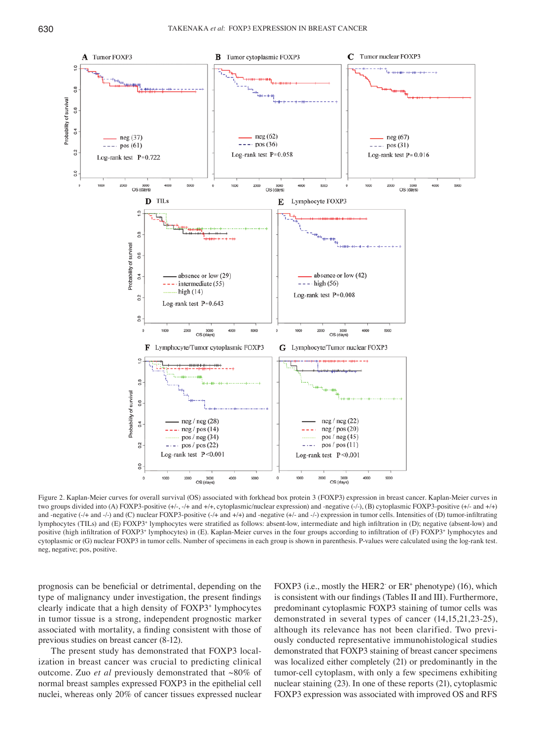

Figure 2. Kaplan-Meier curves for overall survival (OS) associated with forkhead box protein 3 (FOXP3) expression in breast cancer. Kaplan-Meier curves in two groups divided into (A) FOXP3-positive  $(+/-, ++$  and  $++$ , cytoplasmic/nuclear expression) and -negative  $(-/-)$ , (B) cytoplasmic FOXP3-positive  $(+/-$  and  $+/-$ ) and -negative  $(-/- +$  and  $(-)$ ) and  $(C)$  nuclear FOXP3-positive  $(-/- +$  and  $-/-)$  and  $-/-$  expression in tumor cells. Intensities of (D) tumor-infiltrating lymphocytes (TILs) and (E) FOXP3<sup>+</sup> lymphocytes were stratified as follows: absent-low, intermediate and high infiltration in (D); negative (absent-low) and positive (high infiltration of FOXP3<sup>+</sup> lymphocytes) in (E). Kaplan-Meier curves in the four groups according to infiltration of (F) FOXP3<sup>+</sup> lymphocytes and cytoplasmic or (G) nuclear FOXP3 in tumor cells. Number of specimens in each group is shown in parenthesis. P-values were calculated using the log-rank test. neg, negative; pos, positive.

prognosis can be beneficial or detrimental, depending on the type of malignancy under investigation, the present findings clearly indicate that a high density of FOXP3+ lymphocytes in tumor tissue is a strong, independent prognostic marker associated with mortality, a finding consistent with those of previous studies on breast cancer (8-12).

The present study has demonstrated that FOXP3 localization in breast cancer was crucial to predicting clinical outcome. Zuo *et al* previously demonstrated that ~80% of normal breast samples expressed FOXP3 in the epithelial cell nuclei, whereas only 20% of cancer tissues expressed nuclear

FOXP3 (i.e., mostly the HER2 or ER<sup>+</sup> phenotype) (16), which is consistent with our findings (Tables Ⅱ and Ⅲ). Furthermore, predominant cytoplasmic FOXP3 staining of tumor cells was demonstrated in several types of cancer (14,15,21,23-25), although its relevance has not been clarified. Two previously conducted representative immunohistological studies demonstrated that FOXP3 staining of breast cancer specimens was localized either completely (21) or predominantly in the tumor-cell cytoplasm, with only a few specimens exhibiting nuclear staining (23). In one of these reports (21), cytoplasmic FOXP3 expression was associated with improved OS and RFS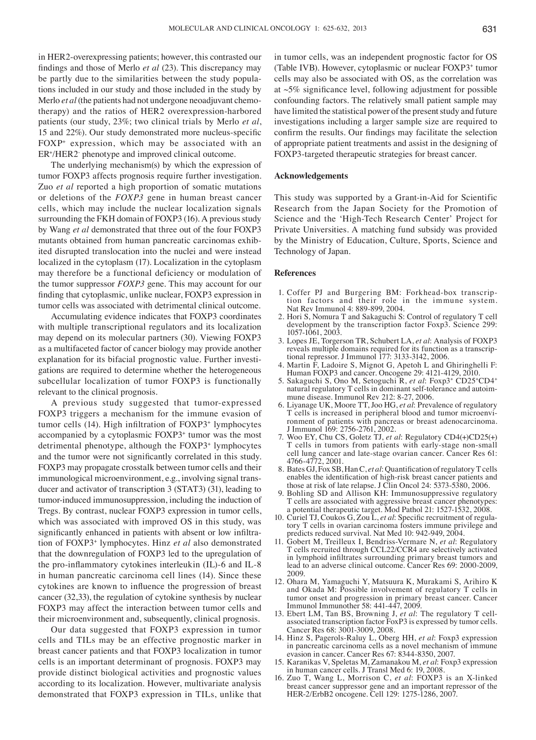in HER2-overexpressing patients; however, this contrasted our findings and those of Merlo *et al* (23). This discrepancy may be partly due to the similarities between the study populations included in our study and those included in the study by Merlo *et al* (the patients had not undergone neoadjuvant chemotherapy) and the ratios of HER2 overexpression-harbored patients (our study, 23%; two clinical trials by Merlo *et al*, 15 and 22%). Our study demonstrated more nucleus‑specific FOXP+ expression, which may be associated with an ER<sup>+</sup>/HER2 phenotype and improved clinical outcome.

The underlying mechanism(s) by which the expression of tumor FOXP3 affects prognosis require further investigation. Zuo *et al* reported a high proportion of somatic mutations or deletions of the *FOXP3* gene in human breast cancer cells, which may include the nuclear localization signals surrounding the FKH domain of FOXP3 (16). A previous study by Wang *et al* demonstrated that three out of the four FOXP3 mutants obtained from human pancreatic carcinomas exhibited disrupted translocation into the nuclei and were instead localized in the cytoplasm (17). Localization in the cytoplasm may therefore be a functional deficiency or modulation of the tumor suppressor *FOXP3* gene. This may account for our finding that cytoplasmic, unlike nuclear, FOXP3 expression in tumor cells was associated with detrimental clinical outcome.

Accumulating evidence indicates that FOXP3 coordinates with multiple transcriptional regulators and its localization may depend on its molecular partners (30). Viewing FOXP3 as a multifaceted factor of cancer biology may provide another explanation for its bifacial prognostic value. Further investigations are required to determine whether the heterogeneous subcellular localization of tumor FOXP3 is functionally relevant to the clinical prognosis.

A previous study suggested that tumor-expressed FOXP3 triggers a mechanism for the immune evasion of tumor cells (14). High infiltration of FOXP3<sup>+</sup> lymphocytes accompanied by a cytoplasmic FOXP3+ tumor was the most detrimental phenotype, although the FOXP3+ lymphocytes and the tumor were not significantly correlated in this study. FOXP3 may propagate crosstalk between tumor cells and their immunological microenvironment, e.g., involving signal transducer and activator of transcription 3 (STAT3) (31), leading to tumor-induced immunosuppression, including the induction of Tregs. By contrast, nuclear FOXP3 expression in tumor cells, which was associated with improved OS in this study, was significantly enhanced in patients with absent or low infiltration of FOXP3+ lymphocytes. Hinz *et al* also demonstrated that the downregulation of FOXP3 led to the upregulation of the pro‑inflammatory cytokines interleukin (IL)-6 and IL-8 in human pancreatic carcinoma cell lines (14). Since these cytokines are known to influence the progression of breast cancer (32,33), the regulation of cytokine synthesis by nuclear FOXP3 may affect the interaction between tumor cells and their microenvironment and, subsequently, clinical prognosis.

Our data suggested that FOXP3 expression in tumor cells and TILs may be an effective prognostic marker in breast cancer patients and that FOXP3 localization in tumor cells is an important determinant of prognosis. FOXP3 may provide distinct biological activities and prognostic values according to its localization. However, multivariate analysis demonstrated that FOXP3 expression in TILs, unlike that in tumor cells, was an independent prognostic factor for OS (Table ⅣB). However, cytoplasmic or nuclear FOXP3<sup>+</sup> tumor cells may also be associated with OS, as the correlation was at  $~5\%$  significance level, following adjustment for possible confounding factors. The relatively small patient sample may have limited the statistical power of the present study and future investigations including a larger sample size are required to confirm the results. Our findings may facilitate the selection of appropriate patient treatments and assist in the designing of FOXP3-targeted therapeutic strategies for breast cancer.

## **Acknowledgements**

This study was supported by a Grant-in-Aid for Scientific Research from the Japan Society for the Promotion of Science and the 'High-Tech Research Center' Project for Private Universities. A matching fund subsidy was provided by the Ministry of Education, Culture, Sports, Science and Technology of Japan.

#### **References**

- 1. Coffer PJ and Burgering BM: Forkhead-box transcrip- tion factors and their role in the immune system. Nat Rev Immunol 4: 889-899, 2004.
- 2. Hori S, Nomura T and Sakaguchi S: Control of regulatory T cell development by the transcription factor Foxp3. Science 299: 1057-1061, 2003.
- 3. Lopes JE, Torgerson TR, Schubert LA, *et al*: Analysis of FOXP3 reveals multiple domains required for its function as a transcrip- tional repressor. J Immunol 177: 3133-3142, 2006.
- 4. Martin F, Ladoire S, Mignot G, Apetoh L and Ghiringhelli F: Human FOXP3 and cancer. Oncogene 29: 4121-4129, 2010.
- 5. Sakaguchi S, Ono M, Setoguchi R, *et al*: Foxp3+ CD25+CD4+ natural regulatory T cells in dominant self-tolerance and autoim- mune disease. Immunol Rev 212: 8-27, 2006.
- 6. Liyanage UK, Moore TT, Joo HG, *et al*: Prevalence of regulatory ronment of patients with pancreas or breast adenocarcinoma. J Immunol 169: 2756-2761, 2002.
- 7. Woo EY, Chu CS, Goletz TJ, *et al*: Regulatory CD4(+)CD25(+) T cells in tumors from patients with early-stage non-small cell lung cancer and late-stage ovarian cancer. Cancer Res 61: 4766-4772, 2001.
- 8. Bates GJ, Fox SB, Han C, *et al*: Quantification of regulatory T cells enables the identification of high-risk breast cancer patients and those at risk of late relapse. J Clin Oncol 24: 5373-5380, 2006.
- 9. Bohling SD and Allison KH: Immunosuppressive regulatory T cells are associated with aggressive breast cancer phenotypes:
- a potential therapeutic target. Mod Pathol 21: 1527-1532, 2008.<br>10. Curiel TJ, Coukos G, Zou L, et al: Specific recruitment of regulatory T cells in ovarian carcinoma fosters immune privilege and predicts reduced survival. Nat Med 10: 942-949, 2004.
- 11. Gobert M, Treilleux I, Bendriss-Vermare N, *et al*: Regulatory T cells recruited through CCL22/CCR4 are selectively activated in lymphoid infiltrates surrounding primary breast tumors and lead to an adverse clinical outcome. Cancer Res 69: 2000-2009, 2009.
- 12. Ohara M, Yamaguchi Y, Matsuura K, Murakami S, Arihiro K and Okada M: Possible involvement of regulatory T cells in tumor onset and progression in primary breast cancer. Cancer
- Immunol Immunother 58: 441-447, 2009.<br>13. Ebert LM, Tan BS, Browning J, *et al*: The regulatory T cellassociated transcription factor FoxP3 is expressed by tumor cells. Cancer Res 68: 3001-3009, 2008.
- 14. Hinz S, Pagerols-Raluy L, Oberg HH, *et al*: Foxp3 expression in pancreatic carcinoma cells as a novel mechanism of immune evasion in cancer. Cancer Res 67: 8344-8350, 2007.
- 15. Karanikas V, Speletas M, Zamanakou M, *et al*: Foxp3 expression in human cancer cells. J Transl Med 6: 19, 2008.
- 16. Zuo T, Wang L, Morrison C, *et al*: FOXP3 is an X-linked breast cancer suppressor gene and an important repressor of the HER-2/ErbB2 oncogene. Cell 129: 1275-1286, 2007.